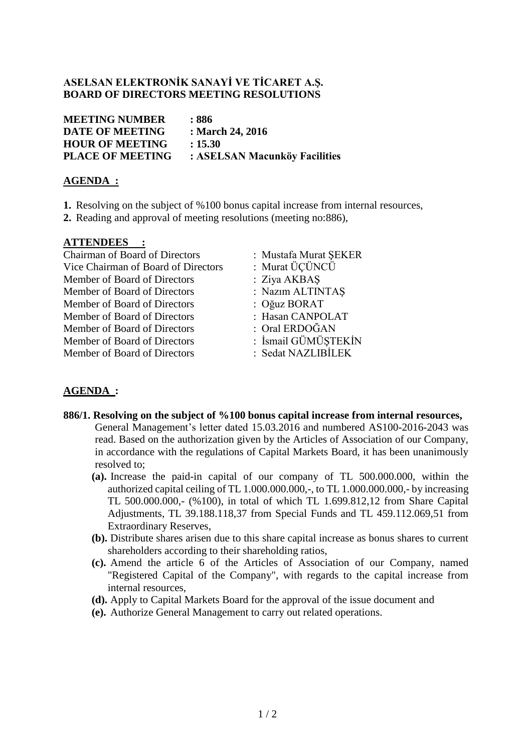## **ASELSAN ELEKTRONİK SANAYİ VE TİCARET A.Ş. BOARD OF DIRECTORS MEETING RESOLUTIONS**

**MEETING NUMBER : 886 DATE OF MEETING : March 24, 2016 HOUR OF MEETING : 15.30 PLACE OF MEETING : ASELSAN Macunköy Facilities**

## **AGENDA :**

- **1.** Resolving on the subject of %100 bonus capital increase from internal resources,
- **2.** Reading and approval of meeting resolutions (meeting no:886),

## **ATTENDEES :**

Chairman of Board of Directors : Mustafa Murat ŞEKER Vice Chairman of Board of Directors : Murat ÜÇÜNCÜ Member of Board of Directors : Ziva AKBAS Member of Board of Directors : Nazım ALTINTAŞ Member of Board of Directors : Oğuz BORAT Member of Board of Directors : Hasan CANPOLAT Member of Board of Directors : Oral ERDOĞAN Member of Board of Directors : İsmail GÜMÜŞTEKİN Member of Board of Directors : Sedat NAZLIBİLEK

- 
- 
- 
- 
- -
	-
- 

## **AGENDA :**

- **886/1. Resolving on the subject of %100 bonus capital increase from internal resources,** General Management's letter dated 15.03.2016 and numbered AS100-2016-2043 was read. Based on the authorization given by the Articles of Association of our Company, in accordance with the regulations of Capital Markets Board, it has been unanimously resolved to;
	- **(a).** Increase the paid-in capital of our company of TL 500.000.000, within the authorized capital ceiling of TL 1.000.000.000,-, to TL 1.000.000.000,- by increasing TL 500.000.000,- (%100), in total of which TL 1.699.812,12 from Share Capital Adjustments, TL 39.188.118,37 from Special Funds and TL 459.112.069,51 from Extraordinary Reserves,
	- **(b).** Distribute shares arisen due to this share capital increase as bonus shares to current shareholders according to their shareholding ratios,
	- **(c).** Amend the article 6 of the Articles of Association of our Company, named "Registered Capital of the Company", with regards to the capital increase from internal resources,
	- **(d).** Apply to Capital Markets Board for the approval of the issue document and
	- **(e).** Authorize General Management to carry out related operations.